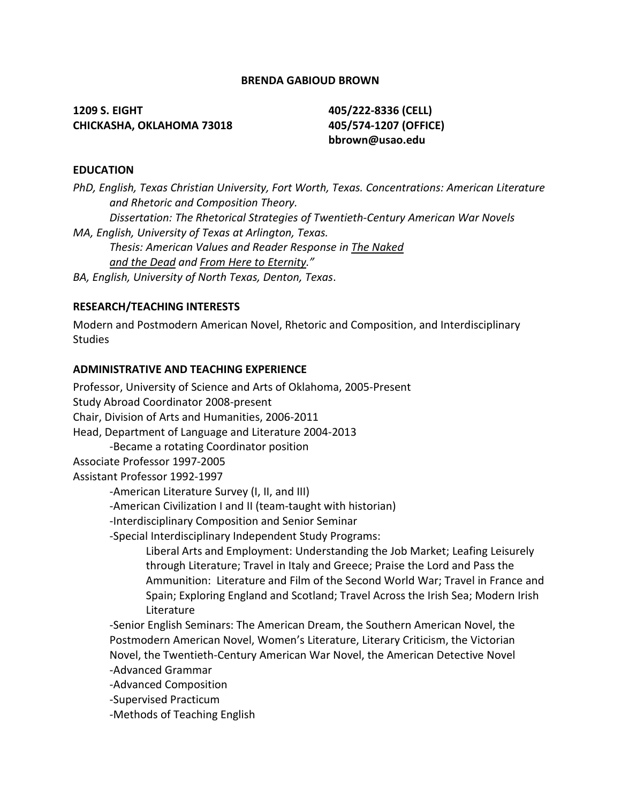## **BRENDA GABIOUD BROWN**

**1209 S. EIGHT 405/222-8336 (CELL) CHICKASHA, OKLAHOMA 73018 405/574-1207 (OFFICE)**

**bbrown@usao.edu**

### **EDUCATION**

*PhD, English, Texas Christian University, Fort Worth, Texas. Concentrations: American Literature and Rhetoric and Composition Theory. Dissertation: The Rhetorical Strategies of Twentieth-Century American War Novels MA, English, University of Texas at Arlington, Texas. Thesis: American Values and Reader Response in The Naked and the Dead and From Here to Eternity." BA, English, University of North Texas, Denton, Texas*.

## **RESEARCH/TEACHING INTERESTS**

Modern and Postmodern American Novel, Rhetoric and Composition, and Interdisciplinary **Studies** 

#### **ADMINISTRATIVE AND TEACHING EXPERIENCE**

Professor, University of Science and Arts of Oklahoma, 2005-Present Study Abroad Coordinator 2008-present Chair, Division of Arts and Humanities, 2006-2011 Head, Department of Language and Literature 2004-2013 -Became a rotating Coordinator position Associate Professor 1997-2005 Assistant Professor 1992-1997 -American Literature Survey (I, II, and III) -American Civilization I and II (team-taught with historian) -Interdisciplinary Composition and Senior Seminar -Special Interdisciplinary Independent Study Programs: Liberal Arts and Employment: Understanding the Job Market; Leafing Leisurely through Literature; Travel in Italy and Greece; Praise the Lord and Pass the Ammunition: Literature and Film of the Second World War; Travel in France and Spain; Exploring England and Scotland; Travel Across the Irish Sea; Modern Irish Literature -Senior English Seminars: The American Dream, the Southern American Novel, the Postmodern American Novel, Women's Literature, Literary Criticism, the Victorian Novel, the Twentieth-Century American War Novel, the American Detective Novel -Advanced Grammar -Advanced Composition -Supervised Practicum

-Methods of Teaching English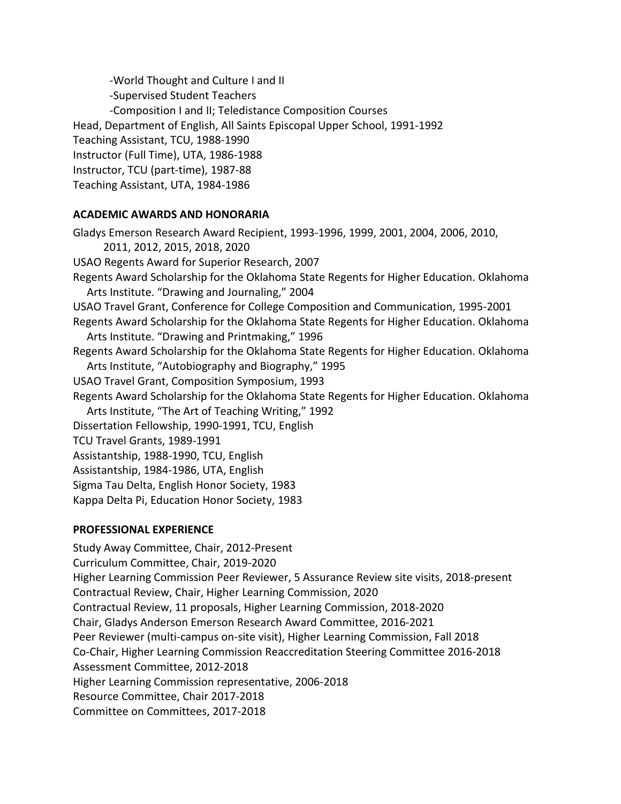-World Thought and Culture I and II -Supervised Student Teachers -Composition I and II; Teledistance Composition Courses Head, Department of English, All Saints Episcopal Upper School, 1991-1992 Teaching Assistant, TCU, 1988-1990 Instructor (Full Time), UTA, 1986-1988 Instructor, TCU (part-time), 1987-88 Teaching Assistant, UTA, 1984-1986

## **ACADEMIC AWARDS AND HONORARIA**

Gladys Emerson Research Award Recipient, 1993-1996, 1999, 2001, 2004, 2006, 2010, 2011, 2012, 2015, 2018, 2020 USAO Regents Award for Superior Research, 2007 Regents Award Scholarship for the Oklahoma State Regents for Higher Education. Oklahoma Arts Institute. "Drawing and Journaling," 2004 USAO Travel Grant, Conference for College Composition and Communication, 1995-2001 Regents Award Scholarship for the Oklahoma State Regents for Higher Education. Oklahoma Arts Institute. "Drawing and Printmaking," 1996 Regents Award Scholarship for the Oklahoma State Regents for Higher Education. Oklahoma Arts Institute, "Autobiography and Biography," 1995 USAO Travel Grant, Composition Symposium, 1993 Regents Award Scholarship for the Oklahoma State Regents for Higher Education. Oklahoma Arts Institute, "The Art of Teaching Writing," 1992 Dissertation Fellowship, 1990-1991, TCU, English TCU Travel Grants, 1989-1991 Assistantship, 1988-1990, TCU, English Assistantship, 1984-1986, UTA, English Sigma Tau Delta, English Honor Society, 1983 Kappa Delta Pi, Education Honor Society, 1983

#### **PROFESSIONAL EXPERIENCE**

Study Away Committee, Chair, 2012-Present Curriculum Committee, Chair, 2019-2020 Higher Learning Commission Peer Reviewer, 5 Assurance Review site visits, 2018-present Contractual Review, Chair, Higher Learning Commission, 2020 Contractual Review, 11 proposals, Higher Learning Commission, 2018-2020 Chair, Gladys Anderson Emerson Research Award Committee, 2016-2021 Peer Reviewer (multi-campus on-site visit), Higher Learning Commission, Fall 2018 Co-Chair, Higher Learning Commission Reaccreditation Steering Committee 2016-2018 Assessment Committee, 2012-2018 Higher Learning Commission representative, 2006-2018 Resource Committee, Chair 2017-2018 Committee on Committees, 2017-2018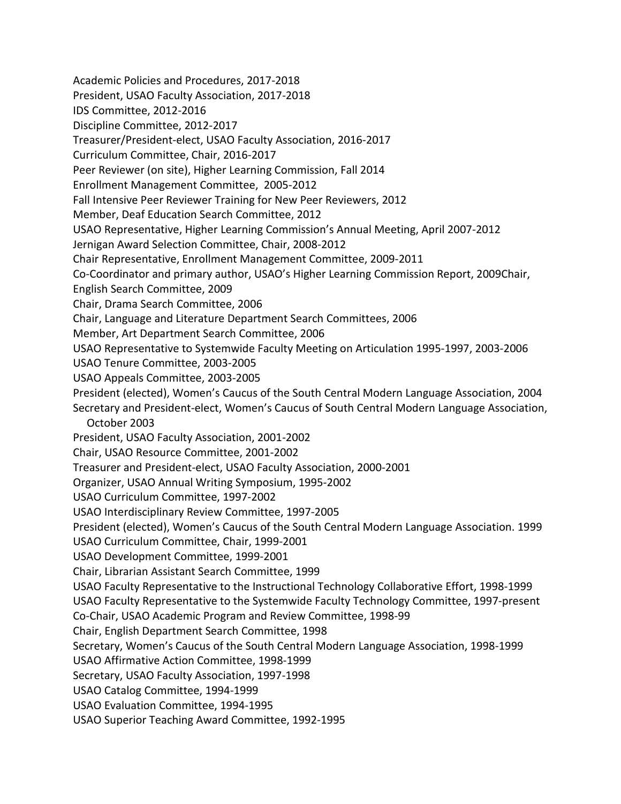Academic Policies and Procedures, 2017-2018 President, USAO Faculty Association, 2017-2018 IDS Committee, 2012-2016 Discipline Committee, 2012-2017 Treasurer/President-elect, USAO Faculty Association, 2016-2017 Curriculum Committee, Chair, 2016-2017 Peer Reviewer (on site), Higher Learning Commission, Fall 2014 Enrollment Management Committee, 2005-2012 Fall Intensive Peer Reviewer Training for New Peer Reviewers, 2012 Member, Deaf Education Search Committee, 2012 USAO Representative, Higher Learning Commission's Annual Meeting, April 2007-2012 Jernigan Award Selection Committee, Chair, 2008-2012 Chair Representative, Enrollment Management Committee, 2009-2011 Co-Coordinator and primary author, USAO's Higher Learning Commission Report, 2009Chair, English Search Committee, 2009 Chair, Drama Search Committee, 2006 Chair, Language and Literature Department Search Committees, 2006 Member, Art Department Search Committee, 2006 USAO Representative to Systemwide Faculty Meeting on Articulation 1995-1997, 2003-2006 USAO Tenure Committee, 2003-2005 USAO Appeals Committee, 2003-2005 President (elected), Women's Caucus of the South Central Modern Language Association, 2004 Secretary and President-elect, Women's Caucus of South Central Modern Language Association, October 2003 President, USAO Faculty Association, 2001-2002 Chair, USAO Resource Committee, 2001-2002 Treasurer and President-elect, USAO Faculty Association, 2000-2001 Organizer, USAO Annual Writing Symposium, 1995-2002 USAO Curriculum Committee, 1997-2002 USAO Interdisciplinary Review Committee, 1997-2005 President (elected), Women's Caucus of the South Central Modern Language Association. 1999 USAO Curriculum Committee, Chair, 1999-2001 USAO Development Committee, 1999-2001 Chair, Librarian Assistant Search Committee, 1999 USAO Faculty Representative to the Instructional Technology Collaborative Effort, 1998-1999 USAO Faculty Representative to the Systemwide Faculty Technology Committee, 1997-present Co-Chair, USAO Academic Program and Review Committee, 1998-99 Chair, English Department Search Committee, 1998 Secretary, Women's Caucus of the South Central Modern Language Association, 1998-1999 USAO Affirmative Action Committee, 1998-1999 Secretary, USAO Faculty Association, 1997-1998 USAO Catalog Committee, 1994-1999 USAO Evaluation Committee, 1994-1995 USAO Superior Teaching Award Committee, 1992-1995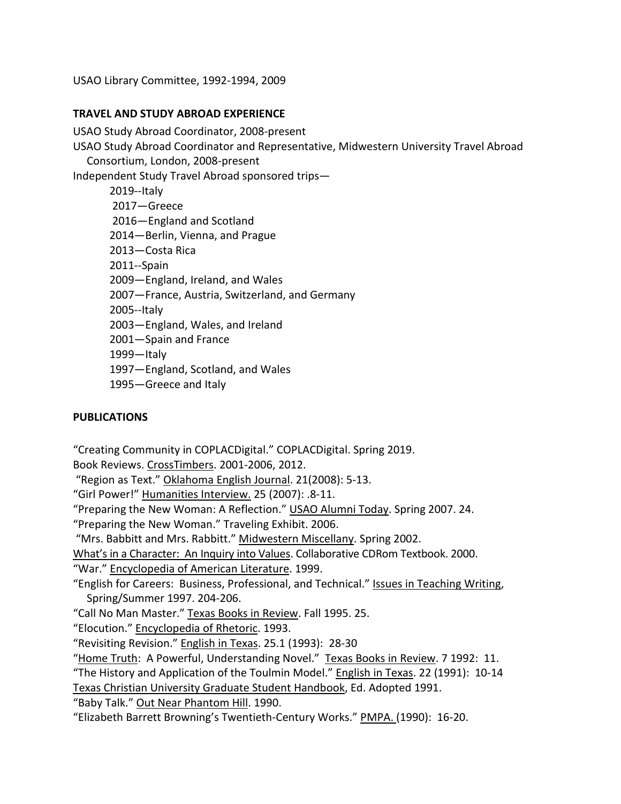USAO Library Committee, 1992-1994, 2009

## **TRAVEL AND STUDY ABROAD EXPERIENCE**

USAO Study Abroad Coordinator, 2008-present

USAO Study Abroad Coordinator and Representative, Midwestern University Travel Abroad Consortium, London, 2008-present

Independent Study Travel Abroad sponsored trips—

- 2019--Italy 2017—Greece 2016—England and Scotland 2014—Berlin, Vienna, and Prague 2013—Costa Rica 2011--Spain 2009—England, Ireland, and Wales 2007—France, Austria, Switzerland, and Germany 2005--Italy 2003—England, Wales, and Ireland 2001—Spain and France 1999—Italy 1997—England, Scotland, and Wales
- 1995—Greece and Italy

# **PUBLICATIONS**

"Creating Community in COPLACDigital." COPLACDigital. Spring 2019.

Book Reviews. CrossTimbers. 2001-2006, 2012.

"Region as Text." Oklahoma English Journal. 21(2008): 5-13.

"Girl Power!" Humanities Interview. 25 (2007): .8-11.

"Preparing the New Woman: A Reflection." USAO Alumni Today. Spring 2007. 24.

"Preparing the New Woman." Traveling Exhibit. 2006.

"Mrs. Babbitt and Mrs. Rabbitt." Midwestern Miscellany. Spring 2002.

What's in a Character: An Inquiry into Values. Collaborative CDRom Textbook. 2000.

"War." Encyclopedia of American Literature. 1999.

"English for Careers: Business, Professional, and Technical." Issues in Teaching Writing, Spring/Summer 1997. 204-206.

"Call No Man Master." Texas Books in Review. Fall 1995. 25.

"Elocution." Encyclopedia of Rhetoric. 1993.

"Revisiting Revision." English in Texas. 25.1 (1993): 28-30

"Home Truth: A Powerful, Understanding Novel." Texas Books in Review. 7 1992: 11.

"The History and Application of the Toulmin Model." English in Texas. 22 (1991): 10-14

Texas Christian University Graduate Student Handbook, Ed. Adopted 1991.

"Baby Talk." Out Near Phantom Hill. 1990.

"Elizabeth Barrett Browning's Twentieth-Century Works." PMPA. (1990): 16-20.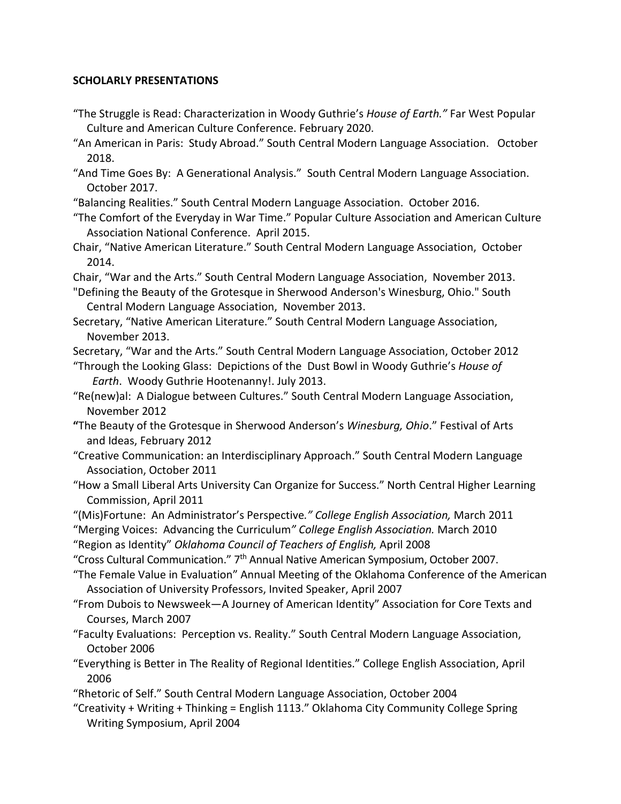## **SCHOLARLY PRESENTATIONS**

- "The Struggle is Read: Characterization in Woody Guthrie's *House of Earth."* Far West Popular Culture and American Culture Conference. February 2020.
- "An American in Paris: Study Abroad." South Central Modern Language Association. October 2018.
- "And Time Goes By: A Generational Analysis." South Central Modern Language Association. October 2017.
- "Balancing Realities." South Central Modern Language Association. October 2016.
- "The Comfort of the Everyday in War Time." Popular Culture Association and American Culture Association National Conference. April 2015.
- Chair, "Native American Literature." South Central Modern Language Association, October 2014.
- Chair, "War and the Arts." South Central Modern Language Association, November 2013.
- "Defining the Beauty of the Grotesque in Sherwood Anderson's Winesburg, Ohio." South Central Modern Language Association, November 2013.
- Secretary, "Native American Literature." South Central Modern Language Association, November 2013.

Secretary, "War and the Arts." South Central Modern Language Association, October 2012

- "Through the Looking Glass: Depictions of the Dust Bowl in Woody Guthrie's *House of Earth*. Woody Guthrie Hootenanny!. July 2013.
- "Re(new)al: A Dialogue between Cultures." South Central Modern Language Association, November 2012
- **"**The Beauty of the Grotesque in Sherwood Anderson's *Winesburg, Ohio*." Festival of Arts and Ideas, February 2012
- "Creative Communication: an Interdisciplinary Approach." South Central Modern Language Association, October 2011
- "How a Small Liberal Arts University Can Organize for Success." North Central Higher Learning Commission, April 2011

"(Mis)Fortune: An Administrator's Perspective*." College English Association,* March 2011

"Merging Voices: Advancing the Curriculum*" College English Association.* March 2010

"Region as Identity" *Oklahoma Council of Teachers of English,* April 2008

"Cross Cultural Communication." 7th Annual Native American Symposium, October 2007.

"The Female Value in Evaluation" Annual Meeting of the Oklahoma Conference of the American Association of University Professors, Invited Speaker, April 2007

- "From Dubois to Newsweek—A Journey of American Identity" Association for Core Texts and Courses, March 2007
- "Faculty Evaluations: Perception vs. Reality." South Central Modern Language Association, October 2006
- "Everything is Better in The Reality of Regional Identities." College English Association, April 2006
- "Rhetoric of Self." South Central Modern Language Association, October 2004
- "Creativity + Writing + Thinking = English 1113." Oklahoma City Community College Spring Writing Symposium, April 2004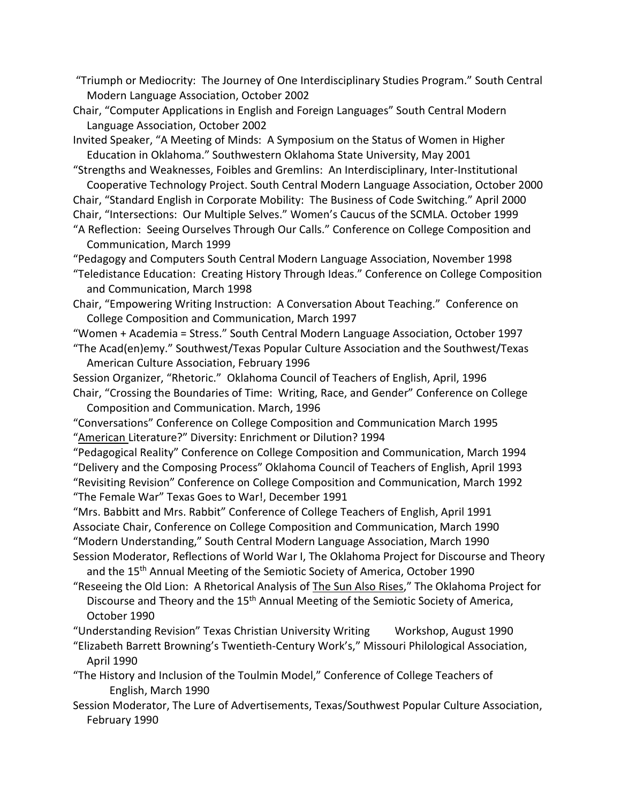"Triumph or Mediocrity: The Journey of One Interdisciplinary Studies Program." South Central Modern Language Association, October 2002

Chair, "Computer Applications in English and Foreign Languages" South Central Modern Language Association, October 2002

Invited Speaker, "A Meeting of Minds: A Symposium on the Status of Women in Higher Education in Oklahoma." Southwestern Oklahoma State University, May 2001

"Strengths and Weaknesses, Foibles and Gremlins: An Interdisciplinary, Inter-Institutional Cooperative Technology Project. South Central Modern Language Association, October 2000

Chair, "Standard English in Corporate Mobility: The Business of Code Switching." April 2000 Chair, "Intersections: Our Multiple Selves." Women's Caucus of the SCMLA. October 1999

"A Reflection: Seeing Ourselves Through Our Calls." Conference on College Composition and Communication, March 1999

"Pedagogy and Computers South Central Modern Language Association, November 1998

"Teledistance Education: Creating History Through Ideas." Conference on College Composition and Communication, March 1998

Chair, "Empowering Writing Instruction: A Conversation About Teaching." Conference on College Composition and Communication, March 1997

"Women + Academia = Stress." South Central Modern Language Association, October 1997

"The Acad(en)emy." Southwest/Texas Popular Culture Association and the Southwest/Texas American Culture Association, February 1996

Session Organizer, "Rhetoric." Oklahoma Council of Teachers of English, April, 1996 Chair, "Crossing the Boundaries of Time: Writing, Race, and Gender" Conference on College Composition and Communication. March, 1996

"Conversations" Conference on College Composition and Communication March 1995 "American Literature?" Diversity: Enrichment or Dilution? 1994

"Pedagogical Reality" Conference on College Composition and Communication, March 1994 "Delivery and the Composing Process" Oklahoma Council of Teachers of English, April 1993 "Revisiting Revision" Conference on College Composition and Communication, March 1992

"The Female War" Texas Goes to War!, December 1991

"Mrs. Babbitt and Mrs. Rabbit" Conference of College Teachers of English, April 1991 Associate Chair, Conference on College Composition and Communication, March 1990 "Modern Understanding," South Central Modern Language Association, March 1990

Session Moderator, Reflections of World War I, The Oklahoma Project for Discourse and Theory and the 15<sup>th</sup> Annual Meeting of the Semiotic Society of America, October 1990

"Reseeing the Old Lion: A Rhetorical Analysis of The Sun Also Rises," The Oklahoma Project for Discourse and Theory and the 15<sup>th</sup> Annual Meeting of the Semiotic Society of America, October 1990

"Understanding Revision" Texas Christian University Writing Workshop, August 1990

"Elizabeth Barrett Browning's Twentieth-Century Work's," Missouri Philological Association, April 1990

"The History and Inclusion of the Toulmin Model," Conference of College Teachers of English, March 1990

Session Moderator, The Lure of Advertisements, Texas/Southwest Popular Culture Association, February 1990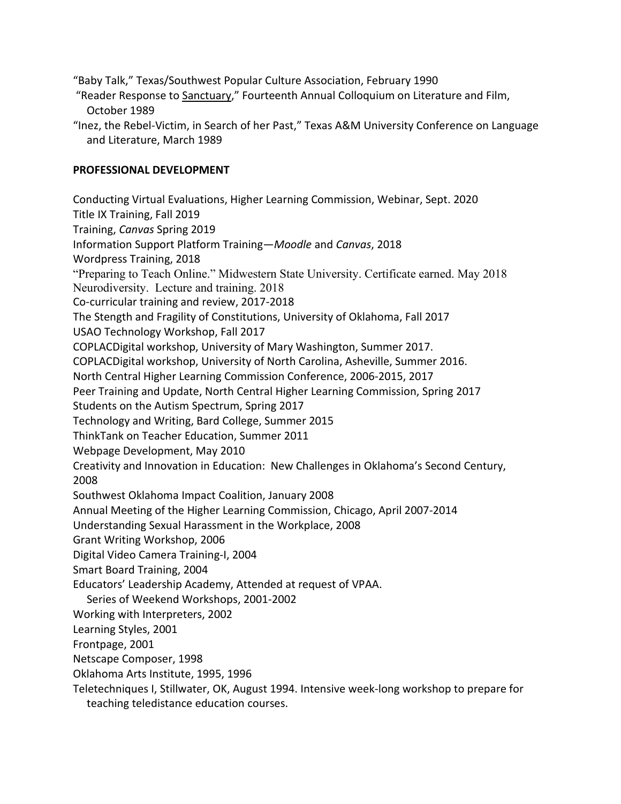"Baby Talk," Texas/Southwest Popular Culture Association, February 1990

- "Reader Response to Sanctuary," Fourteenth Annual Colloquium on Literature and Film, October 1989
- "Inez, the Rebel-Victim, in Search of her Past," Texas A&M University Conference on Language and Literature, March 1989

## **PROFESSIONAL DEVELOPMENT**

Conducting Virtual Evaluations, Higher Learning Commission, Webinar, Sept. 2020 Title IX Training, Fall 2019 Training, *Canvas* Spring 2019 Information Support Platform Training—*Moodle* and *Canvas*, 2018 Wordpress Training, 2018 "Preparing to Teach Online." Midwestern State University. Certificate earned. May 2018 Neurodiversity. Lecture and training. 2018 Co-curricular training and review, 2017-2018 The Stength and Fragility of Constitutions, University of Oklahoma, Fall 2017 USAO Technology Workshop, Fall 2017 COPLACDigital workshop, University of Mary Washington, Summer 2017. COPLACDigital workshop, University of North Carolina, Asheville, Summer 2016. North Central Higher Learning Commission Conference, 2006-2015, 2017 Peer Training and Update, North Central Higher Learning Commission, Spring 2017 Students on the Autism Spectrum, Spring 2017 Technology and Writing, Bard College, Summer 2015 ThinkTank on Teacher Education, Summer 2011 Webpage Development, May 2010 Creativity and Innovation in Education: New Challenges in Oklahoma's Second Century, 2008 Southwest Oklahoma Impact Coalition, January 2008 Annual Meeting of the Higher Learning Commission, Chicago, April 2007-2014 Understanding Sexual Harassment in the Workplace, 2008 Grant Writing Workshop, 2006 Digital Video Camera Training-I, 2004 Smart Board Training, 2004 Educators' Leadership Academy, Attended at request of VPAA. Series of Weekend Workshops, 2001-2002 Working with Interpreters, 2002 Learning Styles, 2001 Frontpage, 2001 Netscape Composer, 1998 Oklahoma Arts Institute, 1995, 1996 Teletechniques I, Stillwater, OK, August 1994. Intensive week-long workshop to prepare for

teaching teledistance education courses.